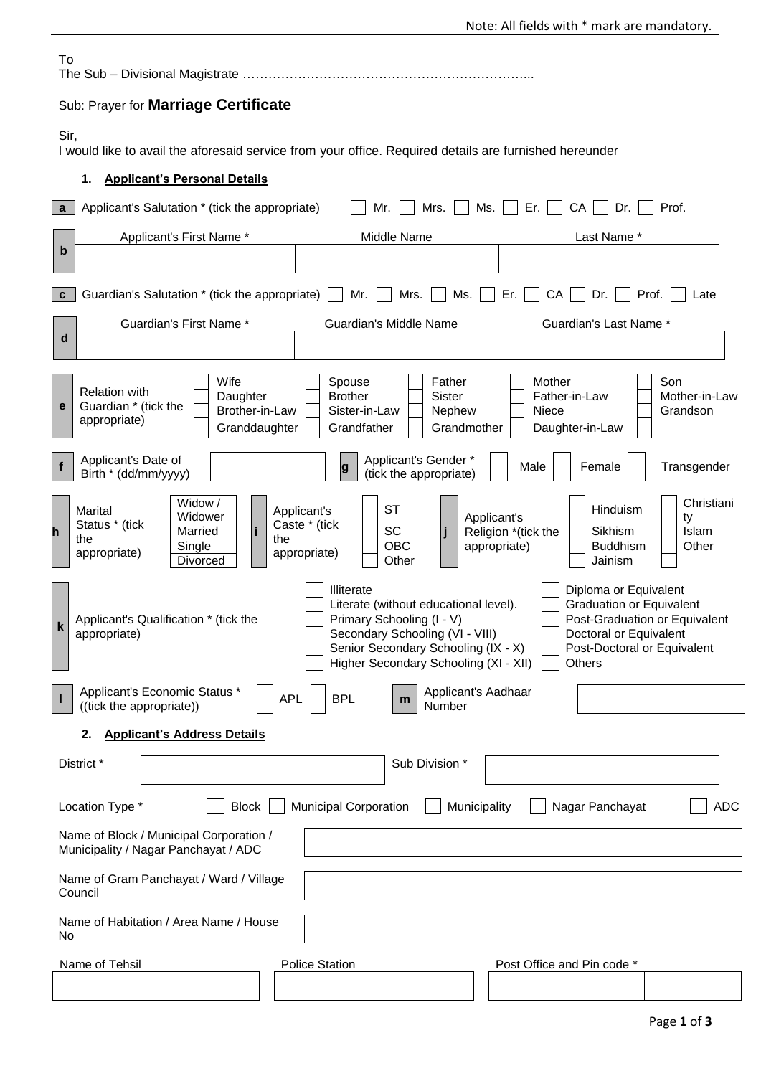| To                                                                                                             |                                                                                                                                                                                                                                                                                                                                                                                                                              |  |  |  |  |  |  |  |
|----------------------------------------------------------------------------------------------------------------|------------------------------------------------------------------------------------------------------------------------------------------------------------------------------------------------------------------------------------------------------------------------------------------------------------------------------------------------------------------------------------------------------------------------------|--|--|--|--|--|--|--|
| Sub: Prayer for Marriage Certificate                                                                           |                                                                                                                                                                                                                                                                                                                                                                                                                              |  |  |  |  |  |  |  |
| Sir,<br>I would like to avail the aforesaid service from your office. Required details are furnished hereunder |                                                                                                                                                                                                                                                                                                                                                                                                                              |  |  |  |  |  |  |  |
| <b>Applicant's Personal Details</b><br>1.                                                                      |                                                                                                                                                                                                                                                                                                                                                                                                                              |  |  |  |  |  |  |  |
| $\mathbf{a}$                                                                                                   | Ms.<br>Er.<br>CA<br>Dr.<br>Applicant's Salutation * (tick the appropriate)<br>Mr.<br>Mrs.  <br>Prof.                                                                                                                                                                                                                                                                                                                         |  |  |  |  |  |  |  |
| b                                                                                                              | Last Name *<br>Applicant's First Name *<br>Middle Name                                                                                                                                                                                                                                                                                                                                                                       |  |  |  |  |  |  |  |
| $\mathbf{c}$                                                                                                   | Mr.<br>Mrs.<br>Prof.<br>Guardian's Salutation * (tick the appropriate)  <br>Ms.<br>Er.<br>CA<br>Dr.<br>Late                                                                                                                                                                                                                                                                                                                  |  |  |  |  |  |  |  |
| d                                                                                                              | Guardian's First Name *<br>Guardian's Middle Name<br>Guardian's Last Name *                                                                                                                                                                                                                                                                                                                                                  |  |  |  |  |  |  |  |
| е                                                                                                              | Wife<br>Mother<br>Son<br>Father<br>Spouse<br><b>Relation with</b><br><b>Brother</b><br><b>Sister</b><br>Daughter<br>Father-in-Law<br>Mother-in-Law<br>Guardian * (tick the<br>Brother-in-Law<br>Sister-in-Law<br>Nephew<br>Niece<br>Grandson<br>appropriate)<br>Granddaughter<br>Grandfather<br>Grandmother<br>Daughter-in-Law                                                                                               |  |  |  |  |  |  |  |
|                                                                                                                | Applicant's Date of<br>Applicant's Gender *<br>Male<br>Female<br>Transgender<br>$\boldsymbol{g}$<br>Birth * (dd/mm/yyyy)<br>(tick the appropriate)                                                                                                                                                                                                                                                                           |  |  |  |  |  |  |  |
|                                                                                                                | Widow/<br>Christiani<br><b>ST</b><br>Hinduism<br>Marital<br>Applicant's<br>Widower<br>Applicant's<br>ty<br>Status * (tick<br>Caste * (tick<br>SC<br>Married<br>Religion *(tick the<br><b>Sikhism</b><br>Islam<br>the<br>the<br><b>OBC</b><br>appropriate)<br>Single<br><b>Buddhism</b><br>Other<br>appropriate)<br>appropriate)<br>Other<br>Divorced<br>Jainism                                                              |  |  |  |  |  |  |  |
| $\mathbf k$                                                                                                    | Illiterate<br>Diploma or Equivalent<br><b>Graduation or Equivalent</b><br>Literate (without educational level).<br>Primary Schooling (I - V)<br>Post-Graduation or Equivalent<br>Applicant's Qualification * (tick the<br>Secondary Schooling (VI - VIII)<br>appropriate)<br>Doctoral or Equivalent<br>Senior Secondary Schooling (IX - X)<br>Post-Doctoral or Equivalent<br>Higher Secondary Schooling (XI - XII)<br>Others |  |  |  |  |  |  |  |
|                                                                                                                | Applicant's Economic Status *<br>Applicant's Aadhaar<br><b>APL</b><br><b>BPL</b><br>m<br>Number<br>((tick the appropriate))                                                                                                                                                                                                                                                                                                  |  |  |  |  |  |  |  |
| <b>Applicant's Address Details</b><br>2.                                                                       |                                                                                                                                                                                                                                                                                                                                                                                                                              |  |  |  |  |  |  |  |
|                                                                                                                | District *<br>Sub Division *                                                                                                                                                                                                                                                                                                                                                                                                 |  |  |  |  |  |  |  |
| <b>Municipal Corporation</b><br><b>ADC</b><br>Location Type *<br>Block<br>Municipality<br>Nagar Panchayat      |                                                                                                                                                                                                                                                                                                                                                                                                                              |  |  |  |  |  |  |  |
| Name of Block / Municipal Corporation /<br>Municipality / Nagar Panchayat / ADC                                |                                                                                                                                                                                                                                                                                                                                                                                                                              |  |  |  |  |  |  |  |
| Name of Gram Panchayat / Ward / Village<br>Council                                                             |                                                                                                                                                                                                                                                                                                                                                                                                                              |  |  |  |  |  |  |  |
| Name of Habitation / Area Name / House<br>No                                                                   |                                                                                                                                                                                                                                                                                                                                                                                                                              |  |  |  |  |  |  |  |
| <b>Police Station</b><br>Post Office and Pin code *<br>Name of Tehsil                                          |                                                                                                                                                                                                                                                                                                                                                                                                                              |  |  |  |  |  |  |  |
|                                                                                                                |                                                                                                                                                                                                                                                                                                                                                                                                                              |  |  |  |  |  |  |  |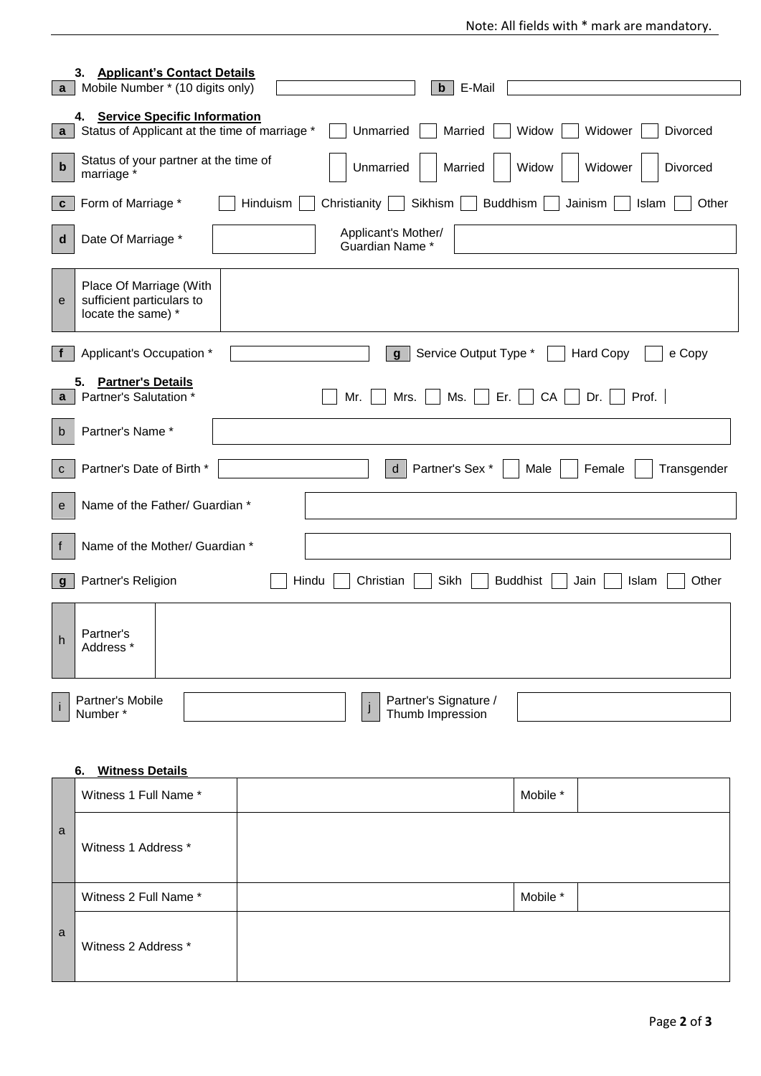| $\mathbf{a}$                    | 3.<br><b>Applicant's Contact Details</b><br>Mobile Number * (10 digits only)                                              | E-Mail<br>$\mathbf b$                                                               |  |  |  |  |  |  |  |
|---------------------------------|---------------------------------------------------------------------------------------------------------------------------|-------------------------------------------------------------------------------------|--|--|--|--|--|--|--|
| 4. Service Specific Information |                                                                                                                           |                                                                                     |  |  |  |  |  |  |  |
| $\mathbf{a}$                    | Status of Applicant at the time of marriage *<br>Unmarried<br>Widow<br>Widower<br>Divorced<br>Married                     |                                                                                     |  |  |  |  |  |  |  |
| $\mathbf b$                     | Status of your partner at the time of<br>Unmarried<br>Married<br>Widow<br>Widower<br>Divorced<br>marriage *               |                                                                                     |  |  |  |  |  |  |  |
| C                               | Form of Marriage *                                                                                                        | Hinduism<br>Christianity<br>Sikhism<br><b>Buddhism</b><br>Jainism<br>Islam<br>Other |  |  |  |  |  |  |  |
| d                               | Date Of Marriage *                                                                                                        | Applicant's Mother/<br>Guardian Name *                                              |  |  |  |  |  |  |  |
| e                               | Place Of Marriage (With<br>sufficient particulars to<br>locate the same) *                                                |                                                                                     |  |  |  |  |  |  |  |
| $\mathbf{f}$                    | Applicant's Occupation *                                                                                                  | Service Output Type *<br><b>Hard Copy</b><br>e Copy<br>$\mathbf{q}$                 |  |  |  |  |  |  |  |
| $\mathbf{a}$                    | <b>Partner's Details</b><br>5.<br>Partner's Salutation *<br>Ms.<br>Er. $\vert \vert$<br>CA<br>Prof.<br>Mr.<br>Mrs.<br>Dr. |                                                                                     |  |  |  |  |  |  |  |
| b                               | Partner's Name*                                                                                                           |                                                                                     |  |  |  |  |  |  |  |
| $\mathbf C$                     | Partner's Date of Birth *<br>$\mathsf{d}$<br>Partner's Sex *<br>Female<br>Transgender<br>Male                             |                                                                                     |  |  |  |  |  |  |  |
| e                               | Name of the Father/ Guardian *                                                                                            |                                                                                     |  |  |  |  |  |  |  |
| f                               | Name of the Mother/ Guardian *                                                                                            |                                                                                     |  |  |  |  |  |  |  |
| g                               | Partner's Religion                                                                                                        | Hindu<br>Sikh<br><b>Buddhist</b><br>Other<br>Christian<br>Jain<br>Islam             |  |  |  |  |  |  |  |
| $\boldsymbol{\mathsf{h}}$       | Partner's<br>Address *                                                                                                    |                                                                                     |  |  |  |  |  |  |  |
| i                               | Partner's Mobile<br>Number*                                                                                               | Partner's Signature /<br>Thumb Impression                                           |  |  |  |  |  |  |  |
|                                 |                                                                                                                           |                                                                                     |  |  |  |  |  |  |  |
|                                 | <b>Witness Details</b><br>6.                                                                                              |                                                                                     |  |  |  |  |  |  |  |
|                                 | Witness 1 Full Name *                                                                                                     | Mobile *                                                                            |  |  |  |  |  |  |  |
| a                               | Witness 1 Address *                                                                                                       |                                                                                     |  |  |  |  |  |  |  |
|                                 | Witness 2 Full Name *                                                                                                     | Mobile *                                                                            |  |  |  |  |  |  |  |
| a                               | Witness 2 Address *                                                                                                       |                                                                                     |  |  |  |  |  |  |  |